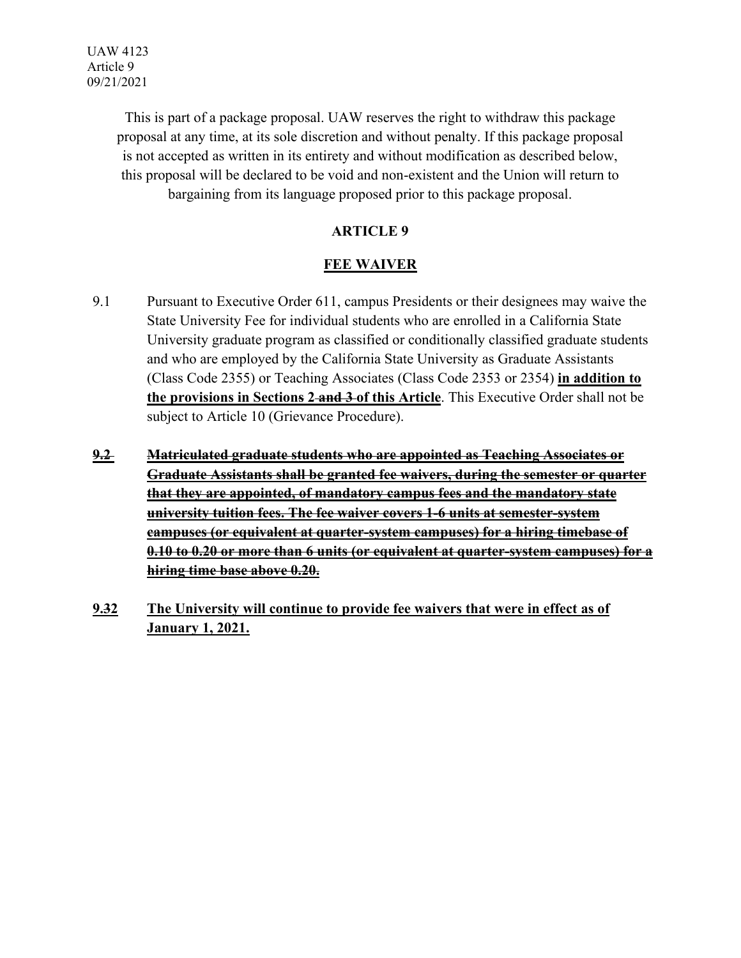This is part of a package proposal. UAW reserves the right to withdraw this package proposal at any time, at its sole discretion and without penalty. If this package proposal is not accepted as written in its entirety and without modification as described below, this proposal will be declared to be void and non-existent and the Union will return to bargaining from its language proposed prior to this package proposal.

### **ARTICLE 9**

# **FEE WAIVER**

- 9.1 Pursuant to Executive Order 611, campus Presidents or their designees may waive the State University Fee for individual students who are enrolled in a California State University graduate program as classified or conditionally classified graduate students and who are employed by the California State University as Graduate Assistants (Class Code 2355) or Teaching Associates (Class Code 2353 or 2354) **in addition to the provisions in Sections 2 and 3 of this Article**. This Executive Order shall not be subject to Article 10 (Grievance Procedure).
- **9.2 Matriculated graduate students who are appointed as Teaching Associates or Graduate Assistants shall be granted fee waivers, during the semester or quarter that they are appointed, of mandatory campus fees and the mandatory state university tuition fees. The fee waiver covers 1-6 units at semester-system campuses (or equivalent at quarter-system campuses) for a hiring timebase of 0.10 to 0.20 or more than 6 units (or equivalent at quarter-system campuses) for a hiring time base above 0.20.**
- **9.32 The University will continue to provide fee waivers that were in effect as of January 1, 2021.**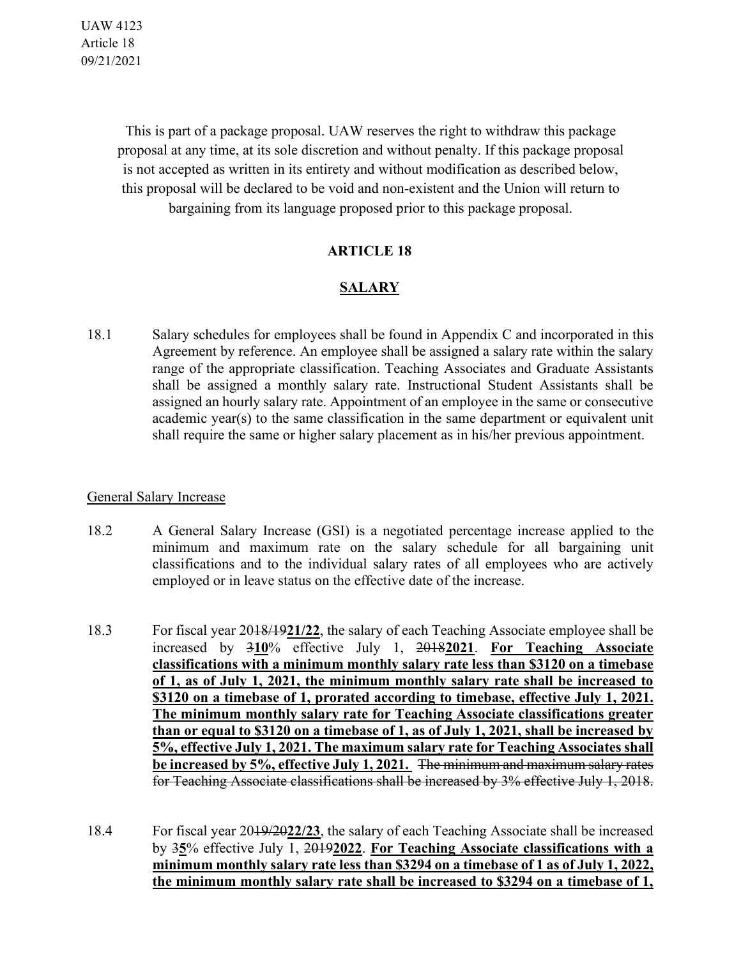UAW 4123 Article 18 09/21/2021

> This is part of a package proposal. UAW reserves the right to withdraw this package proposal at any time, at its sole discretion and without penalty. If this package proposal is not accepted as written in its entirety and without modification as described below, this proposal will be declared to be void and non-existent and the Union will return to bargaining from its language proposed prior to this package proposal.

#### **ARTICLE 18**

### **SALARY**

18.1 Salary schedules for employees shall be found in Appendix C and incorporated in this Agreement by reference. An employee shall be assigned a salary rate within the salary range of the appropriate classification. Teaching Associates and Graduate Assistants shall be assigned a monthly salary rate. Instructional Student Assistants shall be assigned an hourly salary rate. Appointment of an employee in the same or consecutive academic year(s) to the same classification in the same department or equivalent unit shall require the same or higher salary placement as in his/her previous appointment.

#### General Salary Increase

- 18.2 A General Salary Increase (GSI) is a negotiated percentage increase applied to the minimum and maximum rate on the salary schedule for all bargaining unit classifications and to the individual salary rates of all employees who are actively employed or in leave status on the effective date of the increase.
- 18.3 For fiscal year 2018/19**21/22**, the salary of each Teaching Associate employee shall be increased by 3**10**% effective July 1, 2018**2021**. **For Teaching Associate classifications with a minimum monthly salary rate less than \$3120 on a timebase of 1, as of July 1, 2021, the minimum monthly salary rate shall be increased to \$3120 on a timebase of 1, prorated according to timebase, effective July 1, 2021. The minimum monthly salary rate for Teaching Associate classifications greater than or equal to \$3120 on a timebase of 1, as of July 1, 2021, shall be increased by 5%, effective July 1, 2021. The maximum salary rate for Teaching Associates shall be increased by 5%, effective July 1, 2021.** The minimum and maximum salary rates for Teaching Associate classifications shall be increased by 3% effective July 1, 2018.
- 18.4 For fiscal year 2019/20**22/23**, the salary of each Teaching Associate shall be increased by 3**5**% effective July 1, 2019**2022**. **For Teaching Associate classifications with a minimum monthly salary rate less than \$3294 on a timebase of 1 as of July 1, 2022, the minimum monthly salary rate shall be increased to \$3294 on a timebase of 1,**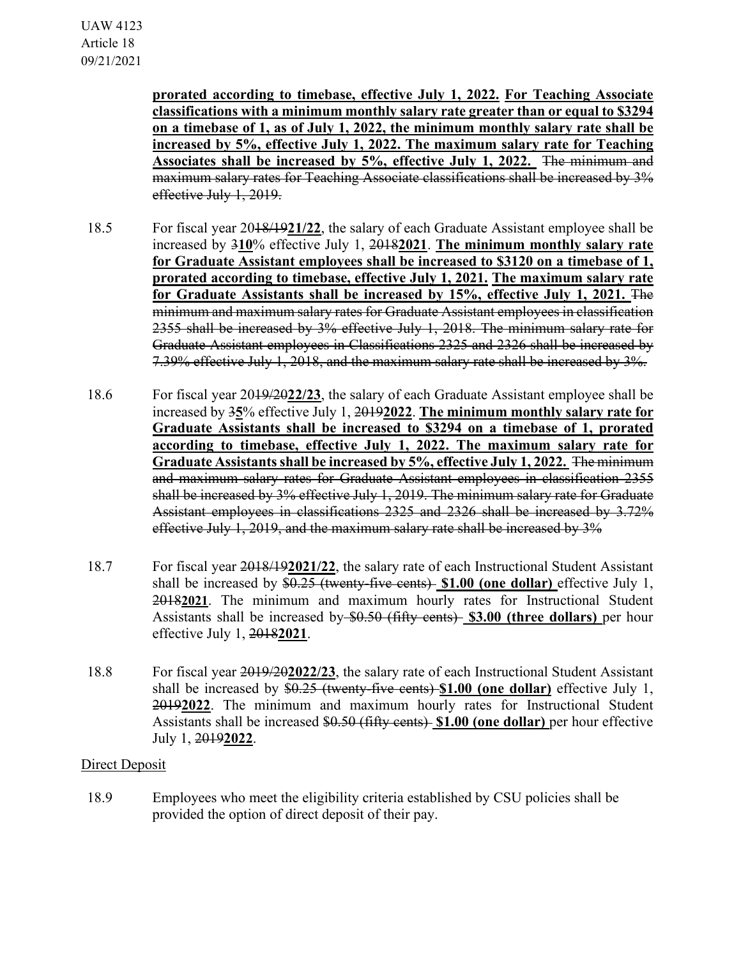**prorated according to timebase, effective July 1, 2022. For Teaching Associate classifications with a minimum monthly salary rate greater than or equal to \$3294 on a timebase of 1, as of July 1, 2022, the minimum monthly salary rate shall be increased by 5%, effective July 1, 2022. The maximum salary rate for Teaching Associates shall be increased by 5%, effective July 1, 2022.** The minimum and maximum salary rates for Teaching Associate classifications shall be increased by 3% effective July 1, 2019.

- 18.5 For fiscal year 2018/19**21/22**, the salary of each Graduate Assistant employee shall be increased by 3**10**% effective July 1, 2018**2021**. **The minimum monthly salary rate for Graduate Assistant employees shall be increased to \$3120 on a timebase of 1, prorated according to timebase, effective July 1, 2021. The maximum salary rate for Graduate Assistants shall be increased by 15%, effective July 1, 2021.** The minimum and maximum salary rates for Graduate Assistant employees in classification 2355 shall be increased by 3% effective July 1, 2018. The minimum salary rate for Graduate Assistant employees in Classifications 2325 and 2326 shall be increased by 7.39% effective July 1, 2018, and the maximum salary rate shall be increased by 3%.
- 18.6 For fiscal year 2019/20**22/23**, the salary of each Graduate Assistant employee shall be increased by 3**5**% effective July 1, 2019**2022**. **The minimum monthly salary rate for Graduate Assistants shall be increased to \$3294 on a timebase of 1, prorated according to timebase, effective July 1, 2022. The maximum salary rate for Graduate Assistants shall be increased by 5%, effective July 1, 2022.** The minimum and maximum salary rates for Graduate Assistant employees in classification 2355 shall be increased by 3% effective July 1, 2019. The minimum salary rate for Graduate Assistant employees in classifications 2325 and 2326 shall be increased by 3.72% effective July 1, 2019, and the maximum salary rate shall be increased by 3%
- 18.7 For fiscal year 2018/19**2021/22**, the salary rate of each Instructional Student Assistant shall be increased by \$0.25 (twenty-five cents) **\$1.00 (one dollar)** effective July 1, 2018**2021**. The minimum and maximum hourly rates for Instructional Student Assistants shall be increased by \$0.50 (fifty cents) **\$3.00 (three dollars)** per hour effective July 1, 2018**2021**.
- 18.8 For fiscal year 2019/20**2022/23**, the salary rate of each Instructional Student Assistant shall be increased by \$0.25 (twenty-five cents) **\$1.00 (one dollar)** effective July 1, 2019**2022**. The minimum and maximum hourly rates for Instructional Student Assistants shall be increased \$0.50 (fifty cents) **\$1.00 (one dollar)** per hour effective July 1, 2019**2022**.

### Direct Deposit

18.9 Employees who meet the eligibility criteria established by CSU policies shall be provided the option of direct deposit of their pay.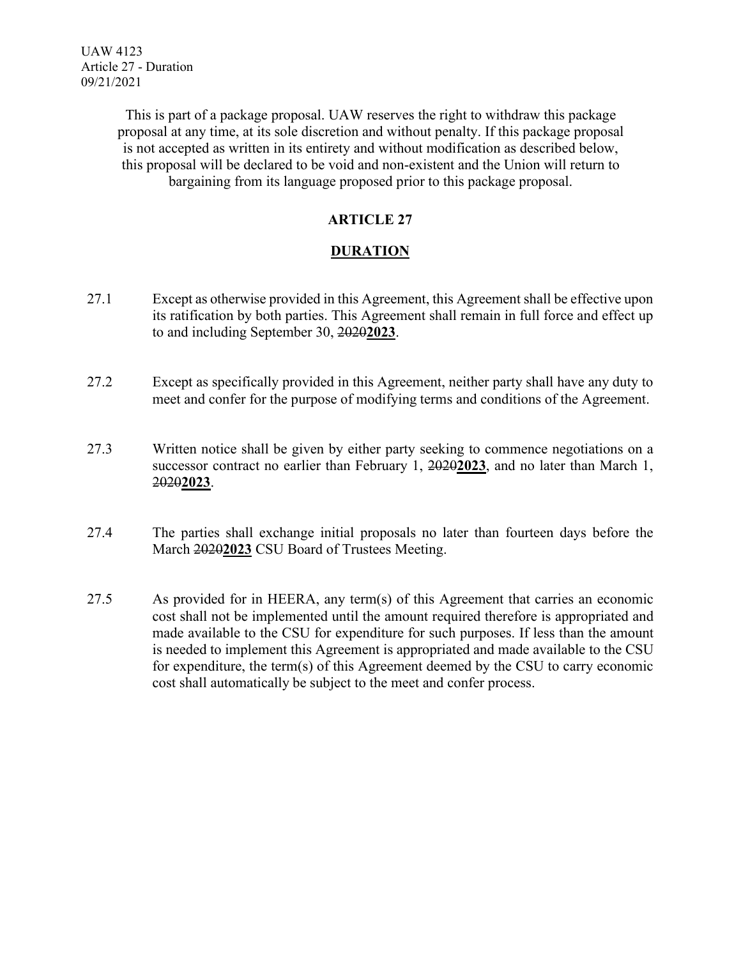This is part of a package proposal. UAW reserves the right to withdraw this package proposal at any time, at its sole discretion and without penalty. If this package proposal is not accepted as written in its entirety and without modification as described below, this proposal will be declared to be void and non-existent and the Union will return to bargaining from its language proposed prior to this package proposal.

### **ARTICLE 27**

# **DURATION**

- 27.1 Except as otherwise provided in this Agreement, this Agreement shall be effective upon its ratification by both parties. This Agreement shall remain in full force and effect up to and including September 30, 2020**2023**.
- 27.2 Except as specifically provided in this Agreement, neither party shall have any duty to meet and confer for the purpose of modifying terms and conditions of the Agreement.
- 27.3 Written notice shall be given by either party seeking to commence negotiations on a successor contract no earlier than February 1, 2020**2023**, and no later than March 1, 2020**2023**.
- 27.4 The parties shall exchange initial proposals no later than fourteen days before the March 2020**2023** CSU Board of Trustees Meeting.
- 27.5 As provided for in HEERA, any term(s) of this Agreement that carries an economic cost shall not be implemented until the amount required therefore is appropriated and made available to the CSU for expenditure for such purposes. If less than the amount is needed to implement this Agreement is appropriated and made available to the CSU for expenditure, the term(s) of this Agreement deemed by the CSU to carry economic cost shall automatically be subject to the meet and confer process.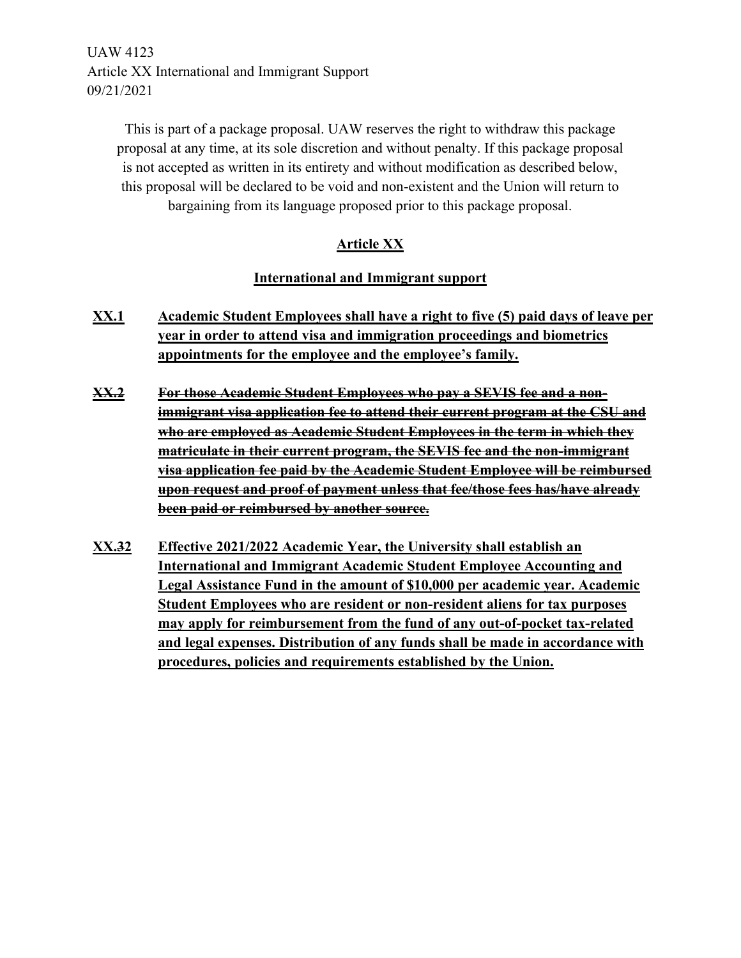UAW 4123 Article XX International and Immigrant Support 09/21/2021

> This is part of a package proposal. UAW reserves the right to withdraw this package proposal at any time, at its sole discretion and without penalty. If this package proposal is not accepted as written in its entirety and without modification as described below, this proposal will be declared to be void and non-existent and the Union will return to bargaining from its language proposed prior to this package proposal.

# **Article XX**

#### **International and Immigrant support**

- **XX.1 Academic Student Employees shall have a right to five (5) paid days of leave per year in order to attend visa and immigration proceedings and biometrics appointments for the employee and the employee's family.**
- **XX.2 For those Academic Student Employees who pay a SEVIS fee and a nonimmigrant visa application fee to attend their current program at the CSU and who are employed as Academic Student Employees in the term in which they matriculate in their current program, the SEVIS fee and the non-immigrant visa application fee paid by the Academic Student Employee will be reimbursed upon request and proof of payment unless that fee/those fees has/have already been paid or reimbursed by another source.**
- **XX.32 Effective 2021/2022 Academic Year, the University shall establish an International and Immigrant Academic Student Employee Accounting and Legal Assistance Fund in the amount of \$10,000 per academic year. Academic Student Employees who are resident or non-resident aliens for tax purposes may apply for reimbursement from the fund of any out-of-pocket tax-related and legal expenses. Distribution of any funds shall be made in accordance with procedures, policies and requirements established by the Union.**